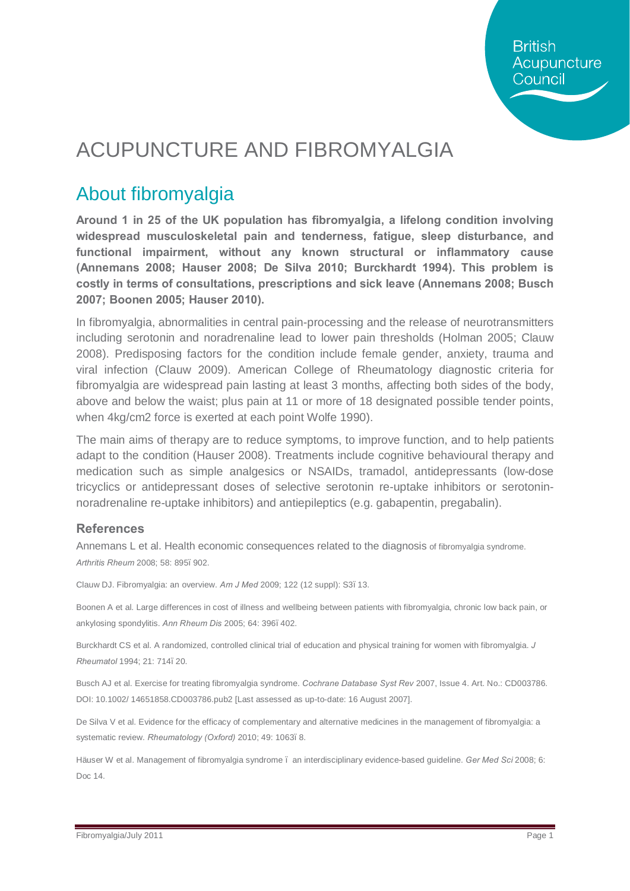## ACUPUNCTURE AND FIBROMYALGIA

#### About fibromyalgia

**Around 1 in 25 of the UK population has fibromyalgia, a lifelong condition involving widespread musculoskeletal pain and tenderness, fatigue, sleep disturbance, and functional impairment, without any known structural or inflammatory cause (Annemans 2008; Hauser 2008; De Silva 2010; Burckhardt 1994). This problem is costly in terms of consultations, prescriptions and sick leave (Annemans 2008; Busch 2007; Boonen 2005; Hauser 2010).** 

In fibromyalgia, abnormalities in central pain-processing and the release of neurotransmitters including serotonin and noradrenaline lead to lower pain thresholds (Holman 2005; Clauw 2008). Predisposing factors for the condition include female gender, anxiety, trauma and viral infection (Clauw 2009). American College of Rheumatology diagnostic criteria for fibromyalgia are widespread pain lasting at least 3 months, affecting both sides of the body, above and below the waist; plus pain at 11 or more of 18 designated possible tender points, when 4kg/cm2 force is exerted at each point Wolfe 1990).

The main aims of therapy are to reduce symptoms, to improve function, and to help patients adapt to the condition (Hauser 2008). Treatments include cognitive behavioural therapy and medication such as simple analgesics or NSAIDs, tramadol, antidepressants (low-dose tricyclics or antidepressant doses of selective serotonin re-uptake inhibitors or serotoninnoradrenaline re-uptake inhibitors) and antiepileptics (e.g. gabapentin, pregabalin).

#### **References**

Annemans L et al. Health economic consequences related to the diagnosis of fibromyalgia syndrome. *Arthritis Rheum* 2008; 58: 895–902.

Clauw DJ. Fibromyalgia: an overview. *Am J Med* 2009; 122 (12 suppl): S3–13.

Boonen A et al. Large differences in cost of illness and wellbeing between patients with fibromyalgia, chronic low back pain, or ankylosing spondylitis. *Ann Rheum Dis* 2005; 64: 396–402.

Burckhardt CS et al. A randomized, controlled clinical trial of education and physical training for women with fibromyalgia. *J Rheumatol* 1994; 21: 714–20.

Busch AJ et al. Exercise for treating fibromyalgia syndrome. *Cochrane Database Syst Rev* 2007, Issue 4. Art. No.: CD003786. DOI: 10.1002/ 14651858.CD003786.pub2 [Last assessed as up-to-date: 16 August 2007].

De Silva V et al. Evidence for the efficacy of complementary and alternative medicines in the management of fibromyalgia: a systematic review. *Rheumatology (Oxford)* 2010; 49: 1063. 8.

Häuser W et al. Management of fibromyalgia syndrome – an interdisciplinary evidence-based guideline. *Ger Med Sci* 2008; 6: Doc 14.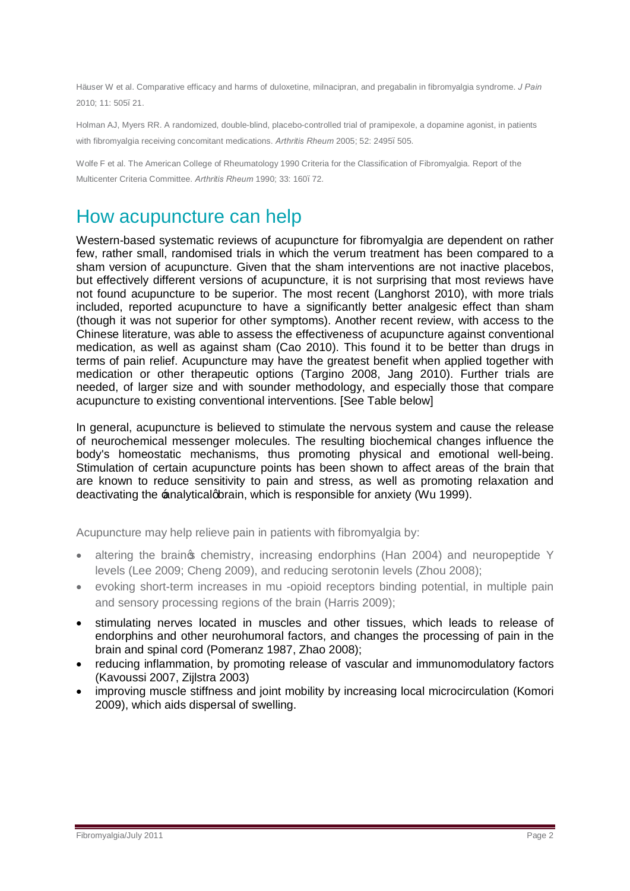Häuser W et al. Comparative efficacy and harms of duloxetine, milnacipran, and pregabalin in fibromyalgia syndrome. *J Pain*  2010; 11: 505–21.

Holman AJ, Myers RR. A randomized, double-blind, placebo-controlled trial of pramipexole, a dopamine agonist, in patients with fibromyalgia receiving concomitant medications. Arthritis Rheum 2005; 52: 2495. 505.

Wolfe F et al. The American College of Rheumatology 1990 Criteria for the Classification of Fibromyalgia. Report of the Multicenter Criteria Committee. *Arthritis Rheum* 1990; 33: 160–72.

#### How acupuncture can help

Western-based systematic reviews of acupuncture for fibromyalgia are dependent on rather few, rather small, randomised trials in which the verum treatment has been compared to a sham version of acupuncture. Given that the sham interventions are not inactive placebos, but effectively different versions of acupuncture, it is not surprising that most reviews have not found acupuncture to be superior. The most recent (Langhorst 2010), with more trials included, reported acupuncture to have a significantly better analgesic effect than sham (though it was not superior for other symptoms). Another recent review, with access to the Chinese literature, was able to assess the effectiveness of acupuncture against conventional medication, as well as against sham (Cao 2010). This found it to be better than drugs in terms of pain relief. Acupuncture may have the greatest benefit when applied together with medication or other therapeutic options (Targino 2008, Jang 2010). Further trials are needed, of larger size and with sounder methodology, and especially those that compare acupuncture to existing conventional interventions. [See Table below]

In general, acupuncture is believed to stimulate the nervous system and cause the release of neurochemical messenger molecules. The resulting biochemical changes influence the body's homeostatic mechanisms, thus promoting physical and emotional well-being. Stimulation of certain acupuncture points has been shown to affect areas of the brain that are known to reduce sensitivity to pain and stress, as well as promoting relaxation and deactivating the  $\pm$ nalyticalgbrain, which is responsible for anxiety (Wu 1999).

Acupuncture may help relieve pain in patients with fibromyalgia by:

- altering the braing chemistry, increasing endorphins (Han 2004) and neuropeptide Y levels (Lee 2009; Cheng 2009), and reducing serotonin levels (Zhou 2008);
- · evoking short-term increases in mu -opioid receptors binding potential, in multiple pain and sensory processing regions of the brain (Harris 2009);
- · stimulating nerves located in muscles and other tissues, which leads to release of endorphins and other neurohumoral factors, and changes the processing of pain in the brain and spinal cord (Pomeranz 1987, Zhao 2008);
- reducing inflammation, by promoting release of vascular and immunomodulatory factors (Kavoussi 2007, Zijlstra 2003)
- improving muscle stiffness and joint mobility by increasing local microcirculation (Komori 2009), which aids dispersal of swelling.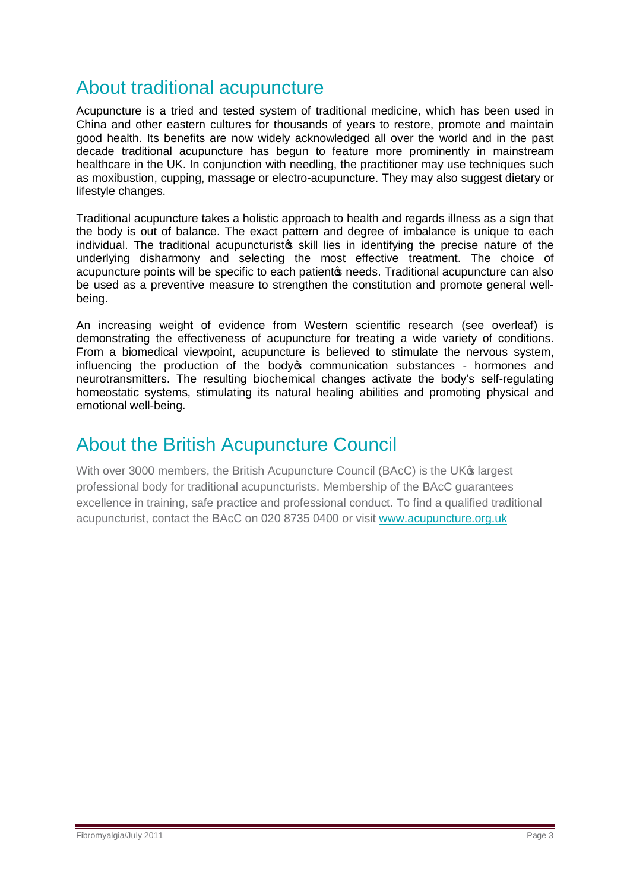### About traditional acupuncture

Acupuncture is a tried and tested system of traditional medicine, which has been used in China and other eastern cultures for thousands of years to restore, promote and maintain good health. Its benefits are now widely acknowledged all over the world and in the past decade traditional acupuncture has begun to feature more prominently in mainstream healthcare in the UK. In conjunction with needling, the practitioner may use techniques such as moxibustion, cupping, massage or electro-acupuncture. They may also suggest dietary or lifestyle changes.

Traditional acupuncture takes a holistic approach to health and regards illness as a sign that the body is out of balance. The exact pattern and degree of imbalance is unique to each individual. The traditional acupuncturists skill lies in identifying the precise nature of the underlying disharmony and selecting the most effective treatment. The choice of acupuncture points will be specific to each patiento needs. Traditional acupuncture can also be used as a preventive measure to strengthen the constitution and promote general wellbeing.

An increasing weight of evidence from Western scientific research (see overleaf) is demonstrating the effectiveness of acupuncture for treating a wide variety of conditions. From a biomedical viewpoint, acupuncture is believed to stimulate the nervous system, influencing the production of the body to communication substances - hormones and neurotransmitters. The resulting biochemical changes activate the body's self-regulating homeostatic systems, stimulating its natural healing abilities and promoting physical and emotional well-being.

#### About the British Acupuncture Council

With over 3000 members, the British Acupuncture Council (BAcC) is the UK<sup>®</sup> largest professional body for traditional acupuncturists. Membership of the BAcC guarantees excellence in training, safe practice and professional conduct. To find a qualified traditional acupuncturist, contact the BAcC on 020 8735 0400 or visit [www.acupuncture.org.uk](http://www.acupuncture.org.uk/)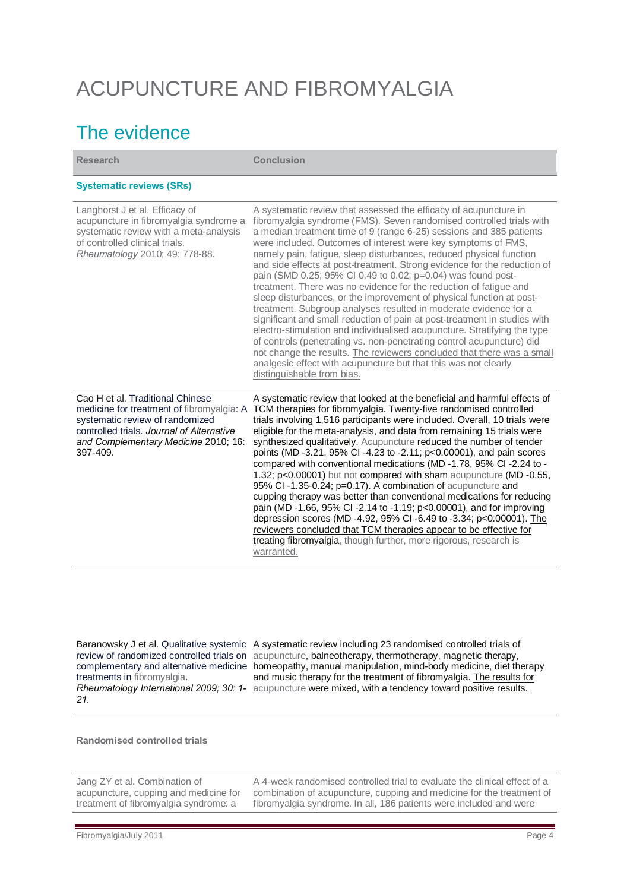# ACUPUNCTURE AND FIBROMYALGIA

## The evidence

| <b>Research</b>                                                                                                                                                                                                   | <b>Conclusion</b>                                                                                                                                                                                                                                                                                                                                                                                                                                                                                                                                                                                                                                                                                                                                                                                                                                                                                                                                                                                                                                                                                                                 |
|-------------------------------------------------------------------------------------------------------------------------------------------------------------------------------------------------------------------|-----------------------------------------------------------------------------------------------------------------------------------------------------------------------------------------------------------------------------------------------------------------------------------------------------------------------------------------------------------------------------------------------------------------------------------------------------------------------------------------------------------------------------------------------------------------------------------------------------------------------------------------------------------------------------------------------------------------------------------------------------------------------------------------------------------------------------------------------------------------------------------------------------------------------------------------------------------------------------------------------------------------------------------------------------------------------------------------------------------------------------------|
| <b>Systematic reviews (SRs)</b>                                                                                                                                                                                   |                                                                                                                                                                                                                                                                                                                                                                                                                                                                                                                                                                                                                                                                                                                                                                                                                                                                                                                                                                                                                                                                                                                                   |
| Langhorst J et al. Efficacy of<br>acupuncture in fibromyalgia syndrome a<br>systematic review with a meta-analysis<br>of controlled clinical trials.<br>Rheumatology 2010; 49: 778-88.                            | A systematic review that assessed the efficacy of acupuncture in<br>fibromyalgia syndrome (FMS). Seven randomised controlled trials with<br>a median treatment time of 9 (range 6-25) sessions and 385 patients<br>were included. Outcomes of interest were key symptoms of FMS,<br>namely pain, fatigue, sleep disturbances, reduced physical function<br>and side effects at post-treatment. Strong evidence for the reduction of<br>pain (SMD 0.25; 95% CI 0.49 to 0.02; p=0.04) was found post-<br>treatment. There was no evidence for the reduction of fatigue and<br>sleep disturbances, or the improvement of physical function at post-<br>treatment. Subgroup analyses resulted in moderate evidence for a<br>significant and small reduction of pain at post-treatment in studies with<br>electro-stimulation and individualised acupuncture. Stratifying the type<br>of controls (penetrating vs. non-penetrating control acupuncture) did<br>not change the results. The reviewers concluded that there was a small<br>analgesic effect with acupuncture but that this was not clearly<br>distinguishable from bias. |
| Cao H et al. Traditional Chinese<br>medicine for treatment of fibromyalgia: A<br>systematic review of randomized<br>controlled trials. Journal of Alternative<br>and Complementary Medicine 2010; 16:<br>397-409. | A systematic review that looked at the beneficial and harmful effects of<br>TCM therapies for fibromyalgia. Twenty-five randomised controlled<br>trials involving 1,516 participants were included. Overall, 10 trials were<br>eligible for the meta-analysis, and data from remaining 15 trials were<br>synthesized qualitatively. Acupuncture reduced the number of tender<br>points (MD -3.21, 95% CI -4.23 to -2.11; p<0.00001), and pain scores<br>compared with conventional medications (MD-1.78, 95% CI-2.24 to-<br>1.32; p<0.00001) but not compared with sham acupuncture (MD -0.55,<br>95% CI-1.35-0.24; p=0.17). A combination of acupuncture and<br>cupping therapy was better than conventional medications for reducing<br>pain (MD-1.66, 95% CI-2.14 to -1.19; p<0.00001), and for improving<br>depression scores (MD -4.92, 95% CI -6.49 to -3.34; p<0.00001). The<br>reviewers concluded that TCM therapies appear to be effective for<br>treating fibromyalgia, though further, more rigorous, research is<br>warranted.                                                                                       |

[treatments in fibromyalgia.](http://ovidsp.tx.ovid.com/sp-3.2/ovidweb.cgi?&S=MNFOFPPAOMDDAKHDNCDLLEJJJHJGAA00&Complete+Reference=S.sh.69%7c23%7c1) *21.*

Baranowsky J et al. [Qualitative systemic](http://ovidsp.tx.ovid.com/sp-3.2/ovidweb.cgi?&S=MNFOFPPAOMDDAKHDNCDLLEJJJHJGAA00&Complete+Reference=S.sh.69%7c23%7c1)  A systematic review including 23 randomised controlled trials of [review of randomized controlled trials on](http://ovidsp.tx.ovid.com/sp-3.2/ovidweb.cgi?&S=MNFOFPPAOMDDAKHDNCDLLEJJJHJGAA00&Complete+Reference=S.sh.69%7c23%7c1) acupuncture, balneotherapy, thermotherapy, magnetic therapy, [complementary and alternative medicine](http://ovidsp.tx.ovid.com/sp-3.2/ovidweb.cgi?&S=MNFOFPPAOMDDAKHDNCDLLEJJJHJGAA00&Complete+Reference=S.sh.69%7c23%7c1)  homeopathy, manual manipulation, mind-body medicine, diet therapy Rheumatology International 2009; 30: 1- acupuncture were mixed, with a tendency toward positive results. and music therapy for the treatment of fibromyalgia. The results for

**Randomised controlled trials**

Jang ZY et al. Combination of acupuncture, cupping and medicine for treatment of fibromyalgia syndrome: a

A 4-week randomised controlled trial to evaluate the clinical effect of a combination of acupuncture, cupping and medicine for the treatment of fibromyalgia syndrome. In all, 186 patients were included and were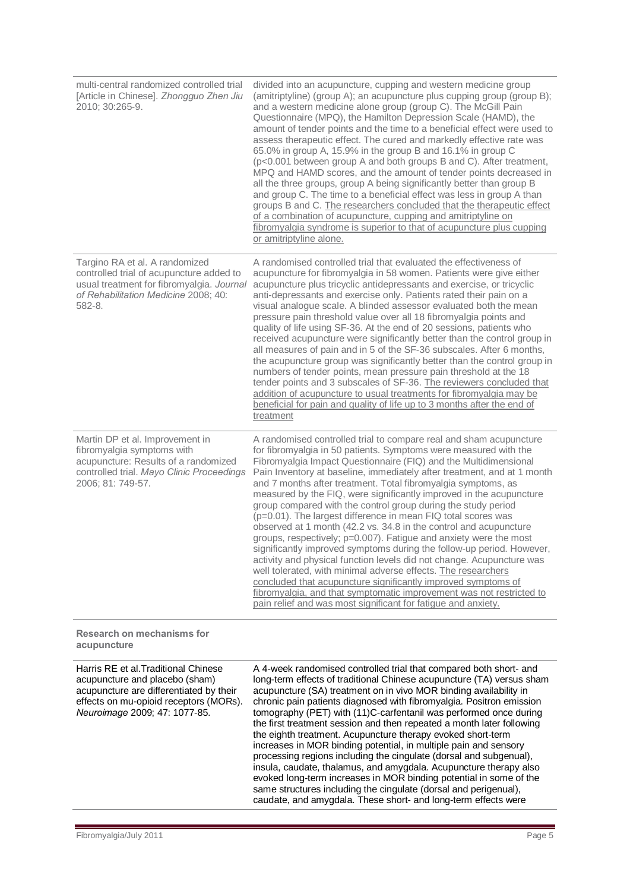| multi-central randomized controlled trial<br>[Article in Chinese]. Zhongguo Zhen Jiu<br>2010; 30:265-9.                                                                                      | divided into an acupuncture, cupping and western medicine group<br>(amitriptyline) (group A); an acupuncture plus cupping group (group B);<br>and a western medicine alone group (group C). The McGill Pain<br>Questionnaire (MPQ), the Hamilton Depression Scale (HAMD), the<br>amount of tender points and the time to a beneficial effect were used to<br>assess therapeutic effect. The cured and markedly effective rate was<br>65.0% in group A, 15.9% in the group B and 16.1% in group C<br>(p<0.001 between group A and both groups B and C). After treatment,<br>MPQ and HAMD scores, and the amount of tender points decreased in<br>all the three groups, group A being significantly better than group B<br>and group C. The time to a beneficial effect was less in group A than<br>groups B and C. The researchers concluded that the therapeutic effect<br>of a combination of acupuncture, cupping and amitriptyline on<br>fibromyalgia syndrome is superior to that of acupuncture plus cupping<br>or amitriptyline alone.                                                                                           |
|----------------------------------------------------------------------------------------------------------------------------------------------------------------------------------------------|----------------------------------------------------------------------------------------------------------------------------------------------------------------------------------------------------------------------------------------------------------------------------------------------------------------------------------------------------------------------------------------------------------------------------------------------------------------------------------------------------------------------------------------------------------------------------------------------------------------------------------------------------------------------------------------------------------------------------------------------------------------------------------------------------------------------------------------------------------------------------------------------------------------------------------------------------------------------------------------------------------------------------------------------------------------------------------------------------------------------------------------|
| Targino RA et al. A randomized<br>controlled trial of acupuncture added to<br>usual treatment for fibromyalgia. Journal<br>of Rehabilitation Medicine 2008; 40:<br>582-8.                    | A randomised controlled trial that evaluated the effectiveness of<br>acupuncture for fibromyalgia in 58 women. Patients were give either<br>acupuncture plus tricyclic antidepressants and exercise, or tricyclic<br>anti-depressants and exercise only. Patients rated their pain on a<br>visual analogue scale. A blinded assessor evaluated both the mean<br>pressure pain threshold value over all 18 fibromyalgia points and<br>quality of life using SF-36. At the end of 20 sessions, patients who<br>received acupuncture were significantly better than the control group in<br>all measures of pain and in 5 of the SF-36 subscales. After 6 months,<br>the acupuncture group was significantly better than the control group in<br>numbers of tender points, mean pressure pain threshold at the 18<br>tender points and 3 subscales of SF-36. The reviewers concluded that<br>addition of acupuncture to usual treatments for fibromyalgia may be<br>beneficial for pain and quality of life up to 3 months after the end of<br>treatment                                                                                  |
| Martin DP et al. Improvement in<br>fibromyalgia symptoms with<br>acupuncture: Results of a randomized<br>controlled trial. Mayo Clinic Proceedings<br>2006; 81: 749-57.                      | A randomised controlled trial to compare real and sham acupuncture<br>for fibromyalgia in 50 patients. Symptoms were measured with the<br>Fibromyalgia Impact Questionnaire (FIQ) and the Multidimensional<br>Pain Inventory at baseline, immediately after treatment, and at 1 month<br>and 7 months after treatment. Total fibromyalgia symptoms, as<br>measured by the FIQ, were significantly improved in the acupuncture<br>group compared with the control group during the study period<br>(p=0.01). The largest difference in mean FIQ total scores was<br>observed at 1 month (42.2 vs. 34.8 in the control and acupuncture<br>groups, respectively; p=0.007). Fatigue and anxiety were the most<br>significantly improved symptoms during the follow-up period. However,<br>activity and physical function levels did not change. Acupuncture was<br>well tolerated, with minimal adverse effects. The researchers<br>concluded that acupuncture significantly improved symptoms of<br>fibromyalgia, and that symptomatic improvement was not restricted to<br>pain relief and was most significant for fatigue and anxiety. |
| <b>Research on mechanisms for</b><br>acupuncture                                                                                                                                             |                                                                                                                                                                                                                                                                                                                                                                                                                                                                                                                                                                                                                                                                                                                                                                                                                                                                                                                                                                                                                                                                                                                                        |
| Harris RE et al. Traditional Chinese<br>acupuncture and placebo (sham)<br>acupuncture are differentiated by their<br>effects on mu-opioid receptors (MORs).<br>Neuroimage 2009; 47: 1077-85. | A 4-week randomised controlled trial that compared both short- and<br>long-term effects of traditional Chinese acupuncture (TA) versus sham<br>acupuncture (SA) treatment on in vivo MOR binding availability in<br>chronic pain patients diagnosed with fibromyalgia. Positron emission<br>tomography (PET) with (11)C-carfentanil was performed once during<br>the first treatment session and then repeated a month later following<br>the eighth treatment. Acupuncture therapy evoked short-term<br>increases in MOR binding potential, in multiple pain and sensory<br>processing regions including the cingulate (dorsal and subgenual),<br>insula, caudate, thalamus, and amygdala. Acupuncture therapy also                                                                                                                                                                                                                                                                                                                                                                                                                   |

caudate, and amygdala. These short- and long-term effects were

evoked long-term increases in MOR binding potential in some of the same structures including the cingulate (dorsal and perigenual),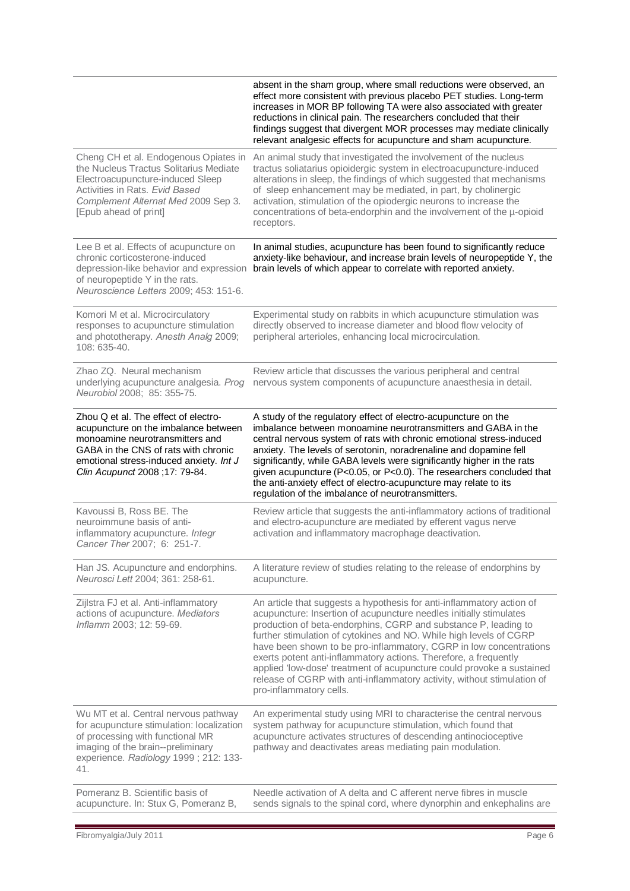|                                                                                                                                                                                                                                      | absent in the sham group, where small reductions were observed, an<br>effect more consistent with previous placebo PET studies. Long-term<br>increases in MOR BP following TA were also associated with greater<br>reductions in clinical pain. The researchers concluded that their<br>findings suggest that divergent MOR processes may mediate clinically<br>relevant analgesic effects for acupuncture and sham acupuncture.                                                                                                                                                                              |
|--------------------------------------------------------------------------------------------------------------------------------------------------------------------------------------------------------------------------------------|---------------------------------------------------------------------------------------------------------------------------------------------------------------------------------------------------------------------------------------------------------------------------------------------------------------------------------------------------------------------------------------------------------------------------------------------------------------------------------------------------------------------------------------------------------------------------------------------------------------|
| Cheng CH et al. Endogenous Opiates in<br>the Nucleus Tractus Solitarius Mediate<br>Electroacupuncture-induced Sleep<br>Activities in Rats. Evid Based<br>Complement Alternat Med 2009 Sep 3.<br>[Epub ahead of print]                | An animal study that investigated the involvement of the nucleus<br>tractus soliatarius opioidergic system in electroacupuncture-induced<br>alterations in sleep, the findings of which suggested that mechanisms<br>of sleep enhancement may be mediated, in part, by cholinergic<br>activation, stimulation of the opiodergic neurons to increase the<br>concentrations of beta-endorphin and the involvement of the u-opioid<br>receptors.                                                                                                                                                                 |
| Lee B et al. Effects of acupuncture on<br>chronic corticosterone-induced<br>depression-like behavior and expression<br>of neuropeptide Y in the rats.<br>Neuroscience Letters 2009; 453: 151-6.                                      | In animal studies, acupuncture has been found to significantly reduce<br>anxiety-like behaviour, and increase brain levels of neuropeptide Y, the<br>brain levels of which appear to correlate with reported anxiety.                                                                                                                                                                                                                                                                                                                                                                                         |
| Komori M et al. Microcirculatory<br>responses to acupuncture stimulation<br>and phototherapy. Anesth Analg 2009;<br>108: 635-40.                                                                                                     | Experimental study on rabbits in which acupuncture stimulation was<br>directly observed to increase diameter and blood flow velocity of<br>peripheral arterioles, enhancing local microcirculation.                                                                                                                                                                                                                                                                                                                                                                                                           |
| Zhao ZQ. Neural mechanism<br>underlying acupuncture analgesia. Prog<br>Neurobiol 2008; 85: 355-75.                                                                                                                                   | Review article that discusses the various peripheral and central<br>nervous system components of acupuncture anaesthesia in detail.                                                                                                                                                                                                                                                                                                                                                                                                                                                                           |
| Zhou Q et al. The effect of electro-<br>acupuncture on the imbalance between<br>monoamine neurotransmitters and<br>GABA in the CNS of rats with chronic<br>emotional stress-induced anxiety. Int J<br>Clin Acupunct 2008 ;17: 79-84. | A study of the regulatory effect of electro-acupuncture on the<br>imbalance between monoamine neurotransmitters and GABA in the<br>central nervous system of rats with chronic emotional stress-induced<br>anxiety. The levels of serotonin, noradrenaline and dopamine fell<br>significantly, while GABA levels were significantly higher in the rats<br>given acupuncture (P<0.05, or P<0.0). The researchers concluded that<br>the anti-anxiety effect of electro-acupuncture may relate to its<br>regulation of the imbalance of neurotransmitters.                                                       |
| Kavoussi B, Ross BE. The<br>neuroimmune basis of anti-<br>inflammatory acupuncture. Integr<br>Cancer Ther 2007; 6: 251-7.                                                                                                            | Review article that suggests the anti-inflammatory actions of traditional<br>and electro-acupuncture are mediated by efferent vagus nerve<br>activation and inflammatory macrophage deactivation.                                                                                                                                                                                                                                                                                                                                                                                                             |
| Han JS. Acupuncture and endorphins.<br>Neurosci Lett 2004; 361: 258-61.                                                                                                                                                              | A literature review of studies relating to the release of endorphins by<br>acupuncture.                                                                                                                                                                                                                                                                                                                                                                                                                                                                                                                       |
| Zijlstra FJ et al. Anti-inflammatory<br>actions of acupuncture. Mediators<br>Inflamm 2003; 12: 59-69.                                                                                                                                | An article that suggests a hypothesis for anti-inflammatory action of<br>acupuncture: Insertion of acupuncture needles initially stimulates<br>production of beta-endorphins, CGRP and substance P, leading to<br>further stimulation of cytokines and NO. While high levels of CGRP<br>have been shown to be pro-inflammatory, CGRP in low concentrations<br>exerts potent anti-inflammatory actions. Therefore, a frequently<br>applied 'low-dose' treatment of acupuncture could provoke a sustained<br>release of CGRP with anti-inflammatory activity, without stimulation of<br>pro-inflammatory cells. |
| Wu MT et al. Central nervous pathway<br>for acupuncture stimulation: localization<br>of processing with functional MR<br>imaging of the brain--preliminary<br>experience. Radiology 1999; 212: 133-<br>41.                           | An experimental study using MRI to characterise the central nervous<br>system pathway for acupuncture stimulation, which found that<br>acupuncture activates structures of descending antinocioceptive<br>pathway and deactivates areas mediating pain modulation.                                                                                                                                                                                                                                                                                                                                            |
| Pomeranz B. Scientific basis of<br>acupuncture. In: Stux G, Pomeranz B,                                                                                                                                                              | Needle activation of A delta and C afferent nerve fibres in muscle<br>sends signals to the spinal cord, where dynorphin and enkephalins are                                                                                                                                                                                                                                                                                                                                                                                                                                                                   |